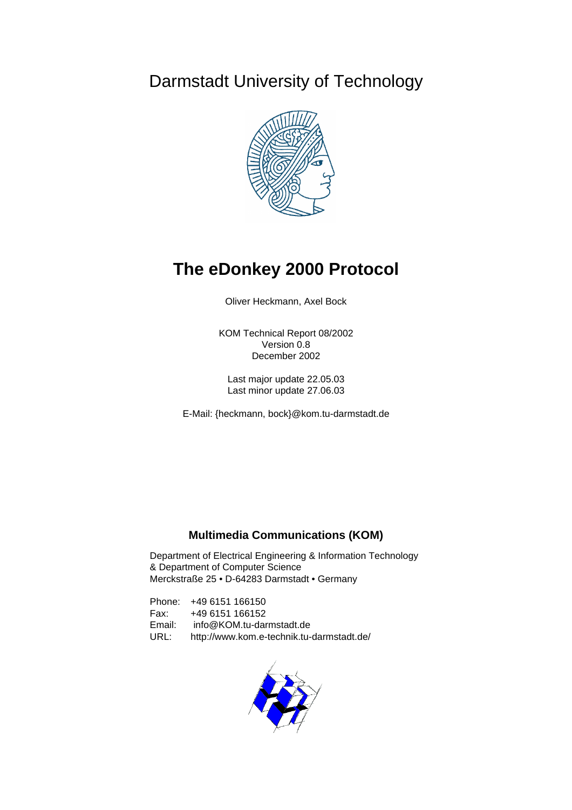# Darmstadt University of Technology



# **The eDonkey 2000 Protocol**

Oliver Heckmann, Axel Bock

KOM Technical Report 08/2002 Version 0.8 December 2002

Last major update 22.05.03 Last minor update 27.06.03

E-Mail: {heckmann, bock}@kom.tu-darmstadt.de

# **Multimedia Communications (KOM)**

Department of Electrical Engineering & Information Technology & Department of Computer Science Merckstraße 25 • D-64283 Darmstadt • Germany

Phone: +49 6151 166150 Fax: +49 6151 166152 Email: info@KOM.tu-darmstadt.de URL: http://www.kom.e-technik.tu-darmstadt.de/

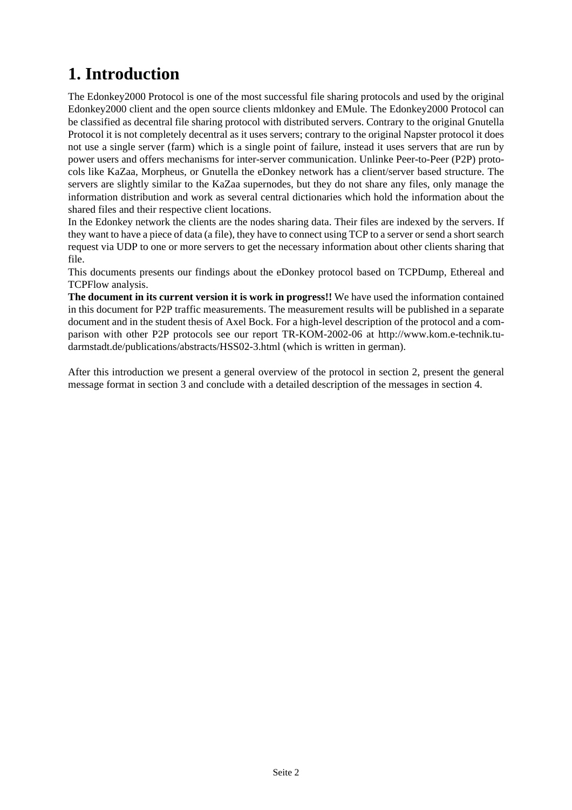# **1. Introduction**

The Edonkey2000 Protocol is one of the most successful file sharing protocols and used by the original Edonkey2000 client and the open source clients mldonkey and EMule. The Edonkey2000 Protocol can be classified as decentral file sharing protocol with distributed servers. Contrary to the original Gnutella Protocol it is not completely decentral as it uses servers; contrary to the original Napster protocol it does not use a single server (farm) which is a single point of failure, instead it uses servers that are run by power users and offers mechanisms for inter-server communication. Unlinke Peer-to-Peer (P2P) protocols like KaZaa, Morpheus, or Gnutella the eDonkey network has a client/server based structure. The servers are slightly similar to the KaZaa supernodes, but they do not share any files, only manage the information distribution and work as several central dictionaries which hold the information about the shared files and their respective client locations.

In the Edonkey network the clients are the nodes sharing data. Their files are indexed by the servers. If they want to have a piece of data (a file), they have to connect using TCP to a server or send a short search request via UDP to one or more servers to get the necessary information about other clients sharing that file.

This documents presents our findings about the eDonkey protocol based on TCPDump, Ethereal and TCPFlow analysis.

**The document in its current version it is work in progress!!** We have used the information contained in this document for P2P traffic measurements. The measurement results will be published in a separate document and in the student thesis of Axel Bock. For a high-level description of the protocol and a comparison with other P2P protocols see our report TR-KOM-2002-06 at http://www.kom.e-technik.tudarmstadt.de/publications/abstracts/HSS02-3.html (which is written in german).

After this introduction we present a general overview of the protocol in section 2, present the general message format in section 3 and conclude with a detailed description of the messages in section 4.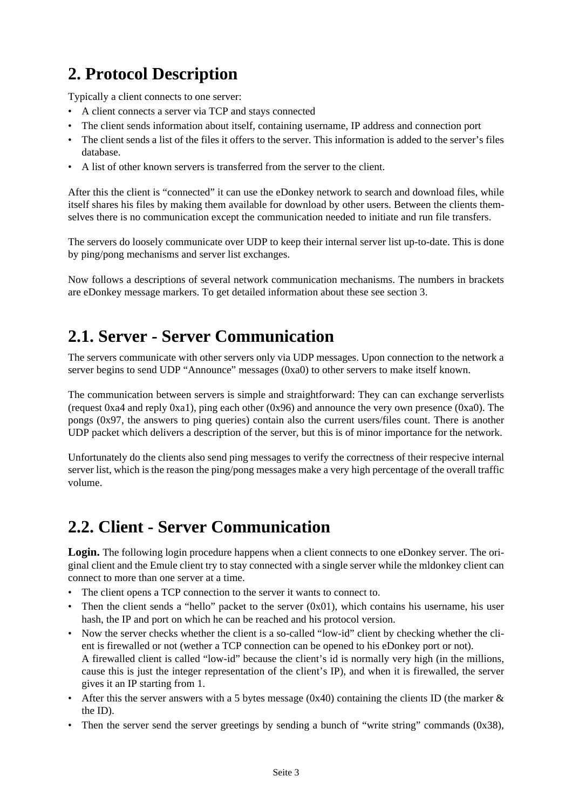# **2. Protocol Description**

Typically a client connects to one server:

- A client connects a server via TCP and stays connected
- The client sends information about itself, containing username, IP address and connection port
- The client sends a list of the files it offers to the server. This information is added to the server's files database.
- A list of other known servers is transferred from the server to the client.

After this the client is "connected" it can use the eDonkey network to search and download files, while itself shares his files by making them available for download by other users. Between the clients themselves there is no communication except the communication needed to initiate and run file transfers.

The servers do loosely communicate over UDP to keep their internal server list up-to-date. This is done by ping/pong mechanisms and server list exchanges.

Now follows a descriptions of several network communication mechanisms. The numbers in brackets are eDonkey message markers. To get detailed information about these see section 3.

# **2.1. Server - Server Communication**

The servers communicate with other servers only via UDP messages. Upon connection to the network a server begins to send UDP "Announce" messages (0xa0) to other servers to make itself known.

The communication between servers is simple and straightforward: They can can exchange serverlists (request 0xa4 and reply 0xa1), ping each other (0x96) and announce the very own presence (0xa0). The pongs (0x97, the answers to ping queries) contain also the current users/files count. There is another UDP packet which delivers a description of the server, but this is of minor importance for the network.

Unfortunately do the clients also send ping messages to verify the correctness of their respecive internal server list, which is the reason the ping/pong messages make a very high percentage of the overall traffic volume.

# **2.2. Client - Server Communication**

**Login.** The following login procedure happens when a client connects to one eDonkey server. The original client and the Emule client try to stay connected with a single server while the mldonkey client can connect to more than one server at a time.

- The client opens a TCP connection to the server it wants to connect to.
- Then the client sends a "hello" packet to the server  $(0x01)$ , which contains his username, his user hash, the IP and port on which he can be reached and his protocol version.
- Now the server checks whether the client is a so-called "low-id" client by checking whether the client is firewalled or not (wether a TCP connection can be opened to his eDonkey port or not). A firewalled client is called "low-id" because the client's id is normally very high (in the millions, cause this is just the integer representation of the client's IP), and when it is firewalled, the server gives it an IP starting from 1.
- After this the server answers with a 5 bytes message (0x40) containing the clients ID (the marker  $\&$ the ID).
- Then the server send the server greetings by sending a bunch of "write string" commands (0x38),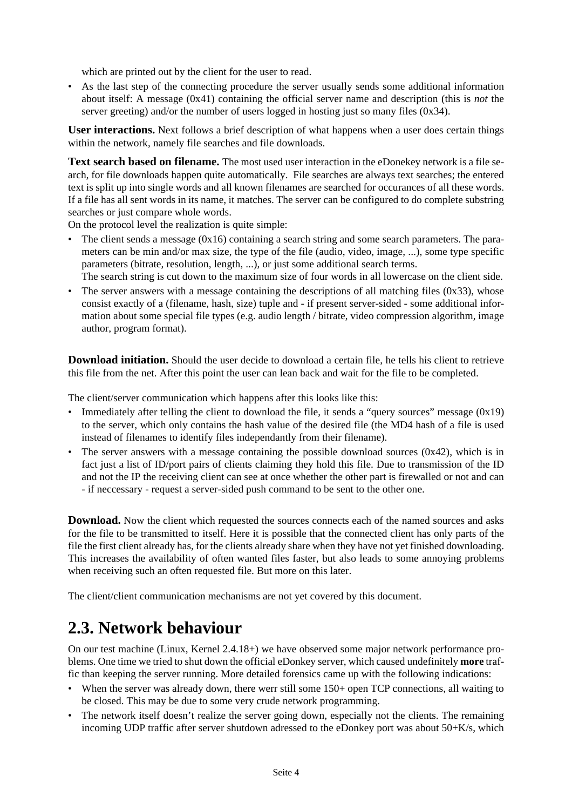which are printed out by the client for the user to read.

• As the last step of the connecting procedure the server usually sends some additional information about itself: A message (0x41) containing the official server name and description (this is *not* the server greeting) and/or the number of users logged in hosting just so many files (0x34).

**User interactions.** Next follows a brief description of what happens when a user does certain things within the network, namely file searches and file downloads.

**Text search based on filename.** The most used user interaction in the eDonekey network is a file search, for file downloads happen quite automatically. File searches are always text searches; the entered text is split up into single words and all known filenames are searched for occurances of all these words. If a file has all sent words in its name, it matches. The server can be configured to do complete substring searches or just compare whole words.

On the protocol level the realization is quite simple:

- The client sends a message (0x16) containing a search string and some search parameters. The parameters can be min and/or max size, the type of the file (audio, video, image, ...), some type specific parameters (bitrate, resolution, length, ...), or just some additional search terms. The search string is cut down to the maximum size of four words in all lowercase on the client side.
- The server answers with a message containing the descriptions of all matching files  $(0x33)$ , whose consist exactly of a (filename, hash, size) tuple and - if present server-sided - some additional information about some special file types (e.g. audio length / bitrate, video compression algorithm, image author, program format).

**Download initiation.** Should the user decide to download a certain file, he tells his client to retrieve this file from the net. After this point the user can lean back and wait for the file to be completed.

The client/server communication which happens after this looks like this:

- Immediately after telling the client to download the file, it sends a "query sources" message (0x19) to the server, which only contains the hash value of the desired file (the MD4 hash of a file is used instead of filenames to identify files independantly from their filename).
- The server answers with a message containing the possible download sources  $(0x42)$ , which is in fact just a list of ID/port pairs of clients claiming they hold this file. Due to transmission of the ID and not the IP the receiving client can see at once whether the other part is firewalled or not and can - if neccessary - request a server-sided push command to be sent to the other one.

**Download.** Now the client which requested the sources connects each of the named sources and asks for the file to be transmitted to itself. Here it is possible that the connected client has only parts of the file the first client already has, for the clients already share when they have not yet finished downloading. This increases the availability of often wanted files faster, but also leads to some annoying problems when receiving such an often requested file. But more on this later.

The client/client communication mechanisms are not yet covered by this document.

# **2.3. Network behaviour**

On our test machine (Linux, Kernel 2.4.18+) we have observed some major network performance problems. One time we tried to shut down the official eDonkey server, which caused undefinitely **more** traffic than keeping the server running. More detailed forensics came up with the following indications:

- When the server was already down, there werr still some 150+ open TCP connections, all waiting to be closed. This may be due to some very crude network programming.
- The network itself doesn't realize the server going down, especially not the clients. The remaining incoming UDP traffic after server shutdown adressed to the eDonkey port was about 50+K/s, which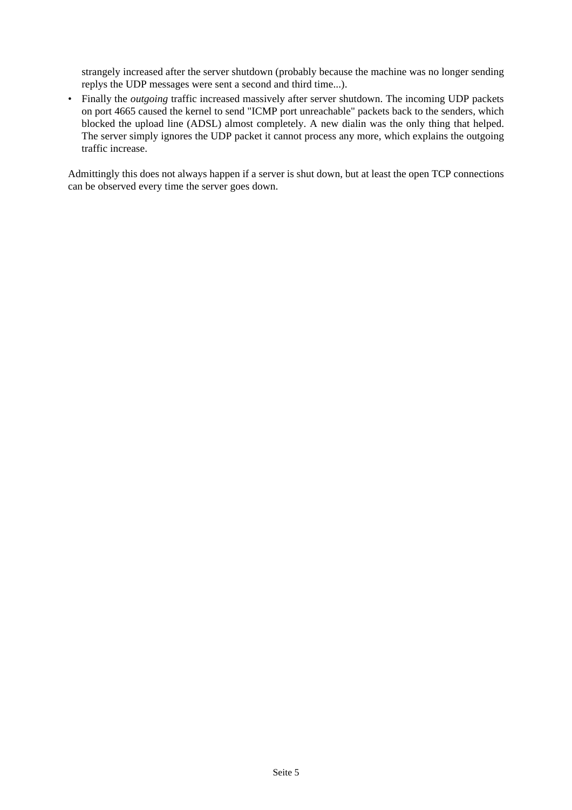strangely increased after the server shutdown (probably because the machine was no longer sending replys the UDP messages were sent a second and third time...).

• Finally the *outgoing* traffic increased massively after server shutdown. The incoming UDP packets on port 4665 caused the kernel to send "ICMP port unreachable" packets back to the senders, which blocked the upload line (ADSL) almost completely. A new dialin was the only thing that helped. The server simply ignores the UDP packet it cannot process any more, which explains the outgoing traffic increase.

Admittingly this does not always happen if a server is shut down, but at least the open TCP connections can be observed every time the server goes down.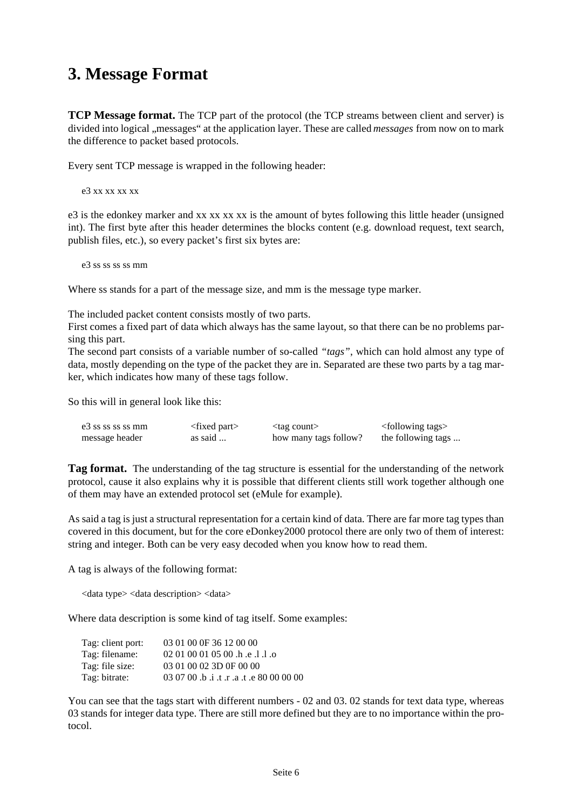# **3. Message Format**

**TCP Message format.** The TCP part of the protocol (the TCP streams between client and server) is divided into logical ,, messages" at the application layer. These are called *messages* from now on to mark the difference to packet based protocols.

Every sent TCP message is wrapped in the following header:

e3 xx xx xx xx

e3 is the edonkey marker and xx xx xx xx is the amount of bytes following this little header (unsigned int). The first byte after this header determines the blocks content (e.g. download request, text search, publish files, etc.), so every packet's first six bytes are:

e<sub>3</sub> ss ss ss ss mm

Where ss stands for a part of the message size, and mm is the message type marker.

The included packet content consists mostly of two parts.

First comes a fixed part of data which always has the same layout, so that there can be no problems parsing this part.

The second part consists of a variable number of so-called *"tags"*, which can hold almost any type of data, mostly depending on the type of the packet they are in. Separated are these two parts by a tag marker, which indicates how many of these tags follow.

So this will in general look like this:

| e <sup>3</sup> ss ss ss ss mm | $\langle$ fixed part $\rangle$ | $<$ tag count $>$     | <following tags=""></following> |
|-------------------------------|--------------------------------|-----------------------|---------------------------------|
| message header                | as said                        | how many tags follow? | the following tags              |

**Tag format.** The understanding of the tag structure is essential for the understanding of the network protocol, cause it also explains why it is possible that different clients still work together although one of them may have an extended protocol set (eMule for example).

As said a tag is just a structural representation for a certain kind of data. There are far more tag types than covered in this document, but for the core eDonkey2000 protocol there are only two of them of interest: string and integer. Both can be very easy decoded when you know how to read them.

A tag is always of the following format:

<data type> <data description> <data>

Where data description is some kind of tag itself. Some examples:

| Tag: client port: | 03 01 00 0F 36 12 00 00                      |
|-------------------|----------------------------------------------|
| Tag: filename:    | 02 01 00 01 05 00 .h .e .l .l .o             |
| Tag: file size:   | 03 01 00 02 3D 0F 00 00                      |
| Tag: bitrate:     | 00 00 00 00 e. t. a. t. a. t. a. 00 00 00 00 |

You can see that the tags start with different numbers - 02 and 03.02 stands for text data type, whereas 03 stands for integer data type. There are still more defined but they are to no importance within the protocol.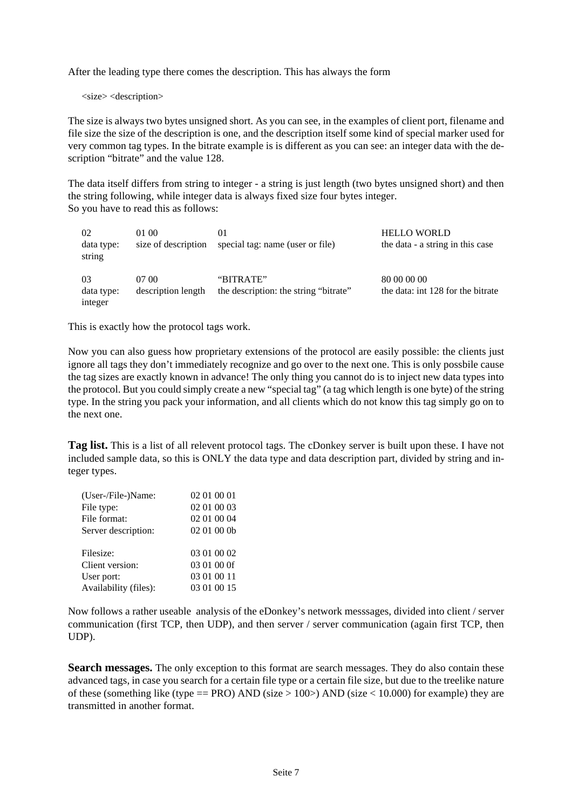After the leading type there comes the description. This has always the form

<size> <description>

The size is always two bytes unsigned short. As you can see, in the examples of client port, filename and file size the size of the description is one, and the description itself some kind of special marker used for very common tag types. In the bitrate example is is different as you can see: an integer data with the description "bitrate" and the value 128.

The data itself differs from string to integer - a string is just length (two bytes unsigned short) and then the string following, while integer data is always fixed size four bytes integer. So you have to read this as follows:

| 02<br>data type:<br>string  | 01.00<br>size of description | 01<br>special tag: name (user or file)             | <b>HELLO WORLD</b><br>the data - a string in this case |
|-----------------------------|------------------------------|----------------------------------------------------|--------------------------------------------------------|
| 03<br>data type:<br>integer | 07.00<br>description length  | "BITRATE"<br>the description: the string "bitrate" | 80 00 00 00<br>the data: int 128 for the bitrate       |

This is exactly how the protocol tags work.

Now you can also guess how proprietary extensions of the protocol are easily possible: the clients just ignore all tags they don't immediately recognize and go over to the next one. This is only possbile cause the tag sizes are exactly known in advance! The only thing you cannot do is to inject new data types into the protocol. But you could simply create a new "special tag" (a tag which length is one byte) of the string type. In the string you pack your information, and all clients which do not know this tag simply go on to the next one.

**Tag list.** This is a list of all relevent protocol tags. The cDonkey server is built upon these. I have not included sample data, so this is ONLY the data type and data description part, divided by string and integer types.

| (User-/File-)Name:    | 02 01 00 01 |
|-----------------------|-------------|
| File type:            | 02 01 00 03 |
| File format:          | 02 01 00 04 |
| Server description:   | 02 01 00 0b |
| Filesize:             | 03 01 00 02 |
| Client version:       | 03 01 00 0f |
| User port:            | 03 01 00 11 |
| Availability (files): | 03 01 00 15 |

Now follows a rather useable analysis of the eDonkey's network messsages, divided into client / server communication (first TCP, then UDP), and then server / server communication (again first TCP, then UDP).

Search messages. The only exception to this format are search messages. They do also contain these advanced tags, in case you search for a certain file type or a certain file size, but due to the treelike nature of these (something like (type  $==$  PRO) AND (size  $> 100$ ) AND (size  $< 10.000$ ) for example) they are transmitted in another format.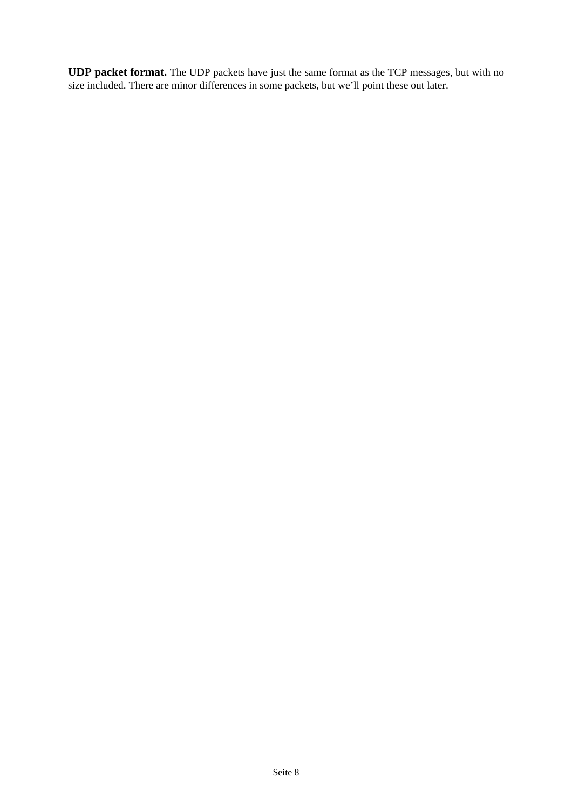**UDP packet format.** The UDP packets have just the same format as the TCP messages, but with no size included. There are minor differences in some packets, but we'll point these out later.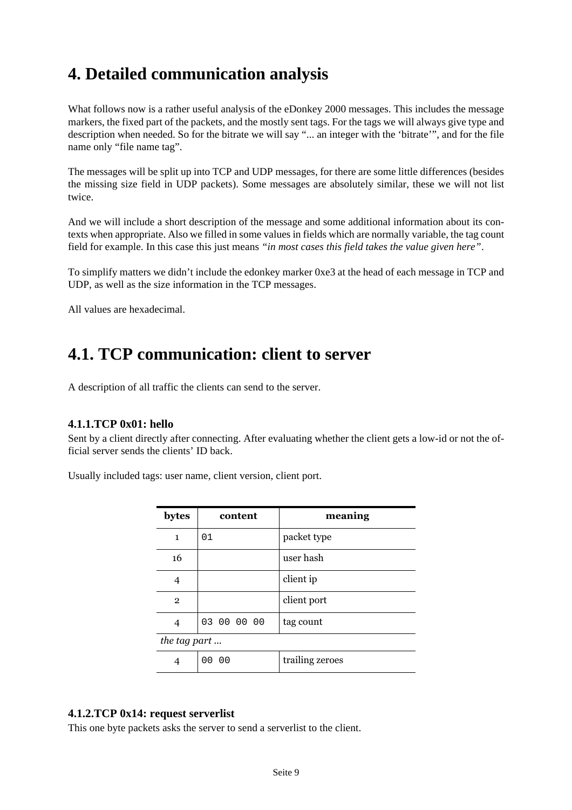# **4. Detailed communication analysis**

What follows now is a rather useful analysis of the eDonkey 2000 messages. This includes the message markers, the fixed part of the packets, and the mostly sent tags. For the tags we will always give type and description when needed. So for the bitrate we will say "... an integer with the 'bitrate'", and for the file name only "file name tag".

The messages will be split up into TCP and UDP messages, for there are some little differences (besides the missing size field in UDP packets). Some messages are absolutely similar, these we will not list twice.

And we will include a short description of the message and some additional information about its contexts when appropriate. Also we filled in some values in fields which are normally variable, the tag count field for example. In this case this just means *"in most cases this field takes the value given here"*.

To simplify matters we didn't include the edonkey marker 0xe3 at the head of each message in TCP and UDP, as well as the size information in the TCP messages.

All values are hexadecimal.

# **4.1. TCP communication: client to server**

A description of all traffic the clients can send to the server.

## **4.1.1.TCP 0x01: hello**

Sent by a client directly after connecting. After evaluating whether the client gets a low-id or not the official server sends the clients' ID back.

Usually included tags: user name, client version, client port.

| bytes          | content     | meaning         |
|----------------|-------------|-----------------|
| $\mathbf{1}$   | 01          | packet type     |
| 16             |             | user hash       |
| 4              |             | client ip       |
| $\overline{2}$ |             | client port     |
| 4              | 03 00 00 00 | tag count       |
| the tag part   |             |                 |
|                | 00 00       | trailing zeroes |

## **4.1.2.TCP 0x14: request serverlist**

This one byte packets asks the server to send a serverlist to the client.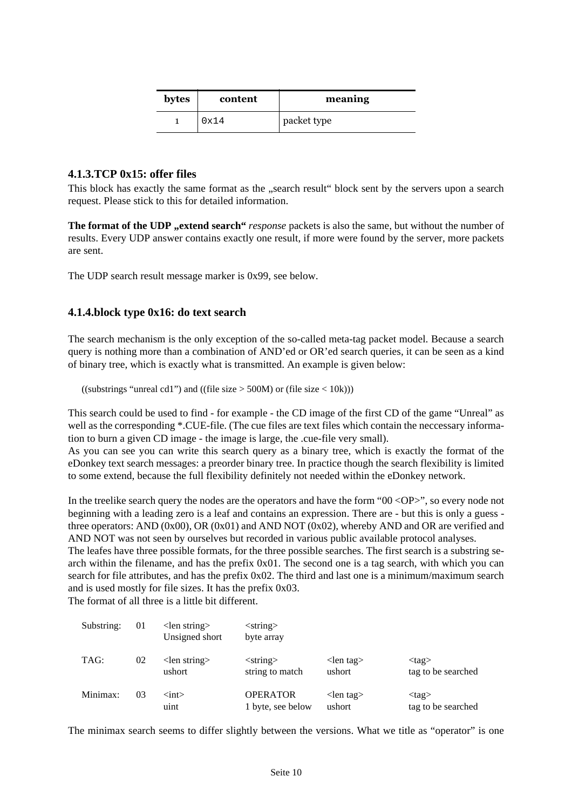| bytes | content | meaning     |
|-------|---------|-------------|
|       | 0x14    | packet type |

## **4.1.3.TCP 0x15: offer files**

This block has exactly the same format as the "search result" block sent by the servers upon a search request. Please stick to this for detailed information.

**The format of the UDP**, extend search" *response* packets is also the same, but without the number of results. Every UDP answer contains exactly one result, if more were found by the server, more packets are sent.

The UDP search result message marker is 0x99, see below.

#### **4.1.4.block type 0x16: do text search**

The search mechanism is the only exception of the so-called meta-tag packet model. Because a search query is nothing more than a combination of AND'ed or OR'ed search queries, it can be seen as a kind of binary tree, which is exactly what is transmitted. An example is given below:

((substrings "unreal cd1") and ((file size  $>$  500M) or (file size  $<$  10k)))

This search could be used to find - for example - the CD image of the first CD of the game "Unreal" as well as the corresponding \*.CUE-file. (The cue files are text files which contain the neccessary information to burn a given CD image - the image is large, the .cue-file very small).

As you can see you can write this search query as a binary tree, which is exactly the format of the eDonkey text search messages: a preorder binary tree. In practice though the search flexibility is limited to some extend, because the full flexibility definitely not needed within the eDonkey network.

In the treelike search query the nodes are the operators and have the form "00 <OP>", so every node not beginning with a leading zero is a leaf and contains an expression. There are - but this is only a guess three operators: AND ( $0x00$ ), OR ( $0x01$ ) and AND NOT ( $0x02$ ), whereby AND and OR are verified and AND NOT was not seen by ourselves but recorded in various public available protocol analyses.

The leafes have three possible formats, for the three possible searches. The first search is a substring search within the filename, and has the prefix 0x01. The second one is a tag search, with which you can search for file attributes, and has the prefix 0x02. The third and last one is a minimum/maximum search and is used mostly for file sizes. It has the prefix 0x03.

The format of all three is a little bit different.

| Substring: | 01 | $\langle$ len string $\rangle$<br>Unsigned short | $\langle$ string $\rangle$<br>byte array      |                                       |                                   |
|------------|----|--------------------------------------------------|-----------------------------------------------|---------------------------------------|-----------------------------------|
| TAG:       | 02 | $\le$ len string $>$<br>ushort                   | $\langle$ string $\rangle$<br>string to match | $\langle$ len tag $\rangle$<br>ushort | $<$ tag $>$<br>tag to be searched |
| Minimax:   | 03 | $\langle \text{int} \rangle$<br>uint             | <b>OPERATOR</b><br>1 byte, see below          | $\langle$ len tag $\rangle$<br>ushort | $<$ tag $>$<br>tag to be searched |

The minimax search seems to differ slightly between the versions. What we title as "operator" is one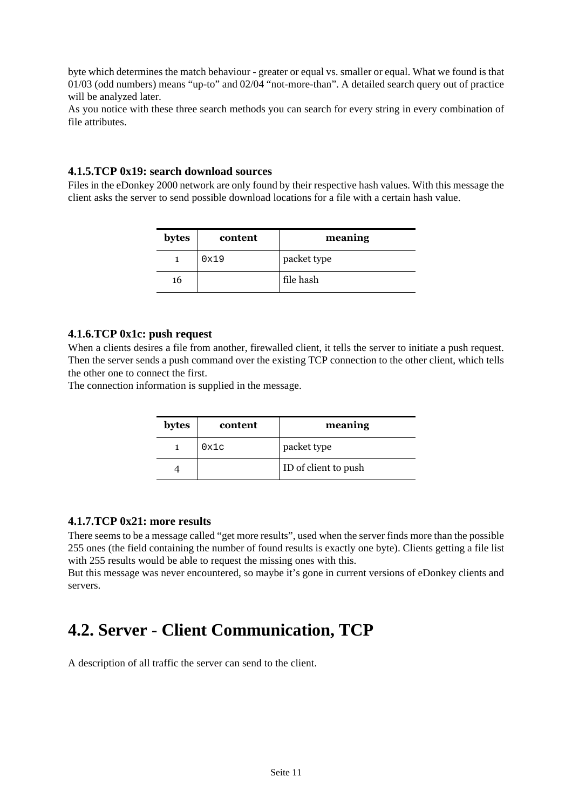byte which determines the match behaviour - greater or equal vs. smaller or equal. What we found is that 01/03 (odd numbers) means "up-to" and 02/04 "not-more-than". A detailed search query out of practice will be analyzed later.

As you notice with these three search methods you can search for every string in every combination of file attributes.

#### **4.1.5.TCP 0x19: search download sources**

Files in the eDonkey 2000 network are only found by their respective hash values. With this message the client asks the server to send possible download locations for a file with a certain hash value.

| bytes | content | meaning     |
|-------|---------|-------------|
|       | 0x19    | packet type |
| 16    |         | file hash   |

#### **4.1.6.TCP 0x1c: push request**

When a clients desires a file from another, firewalled client, it tells the server to initiate a push request. Then the server sends a push command over the existing TCP connection to the other client, which tells the other one to connect the first.

The connection information is supplied in the message.

| bytes | content | meaning              |
|-------|---------|----------------------|
|       | 0x1c    | packet type          |
|       |         | ID of client to push |

## **4.1.7.TCP 0x21: more results**

There seems to be a message called "get more results", used when the server finds more than the possible 255 ones (the field containing the number of found results is exactly one byte). Clients getting a file list with 255 results would be able to request the missing ones with this.

But this message was never encountered, so maybe it's gone in current versions of eDonkey clients and servers.

# **4.2. Server - Client Communication, TCP**

A description of all traffic the server can send to the client.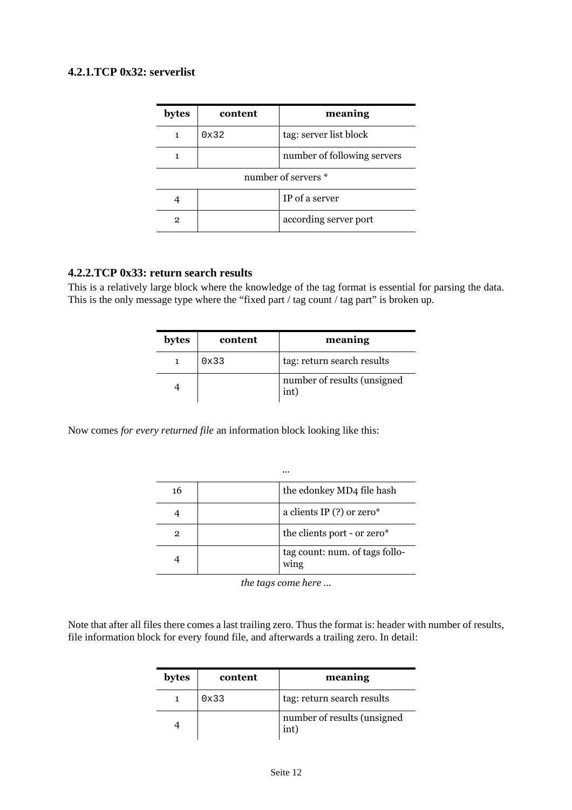# **4.2.1.TCP 0x32: serverlist**

| bytes               | content | meaning                     |
|---------------------|---------|-----------------------------|
|                     | 0x32    | tag: server list block      |
|                     |         | number of following servers |
| number of servers * |         |                             |
|                     |         | IP of a server              |
| 2                   |         | according server port       |

# **4.2.2.TCP 0x33: return search results**

This is a relatively large block where the knowledge of the tag format is essential for parsing the data. This is the only message type where the "fixed part / tag count / tag part" is broken up.

| bytes | content | meaning                             |
|-------|---------|-------------------------------------|
|       | 0x33    | tag: return search results          |
|       |         | number of results (unsigned<br>int) |

Now comes *for every returned file* an information block looking like this:

|    | $\cdots$                               |
|----|----------------------------------------|
| 16 | the edonkey MD4 file hash              |
|    | a clients IP $(?)$ or zero*            |
| 2  | the clients port - or zero*            |
|    | tag count: num. of tags follo-<br>wing |

*the tags come here ...*

Note that after all files there comes a last trailing zero. Thus the format is: header with number of results, file information block for every found file, and afterwards a trailing zero. In detail:

| bytes | content | meaning                             |
|-------|---------|-------------------------------------|
|       | 0x33    | tag: return search results          |
|       |         | number of results (unsigned<br>int) |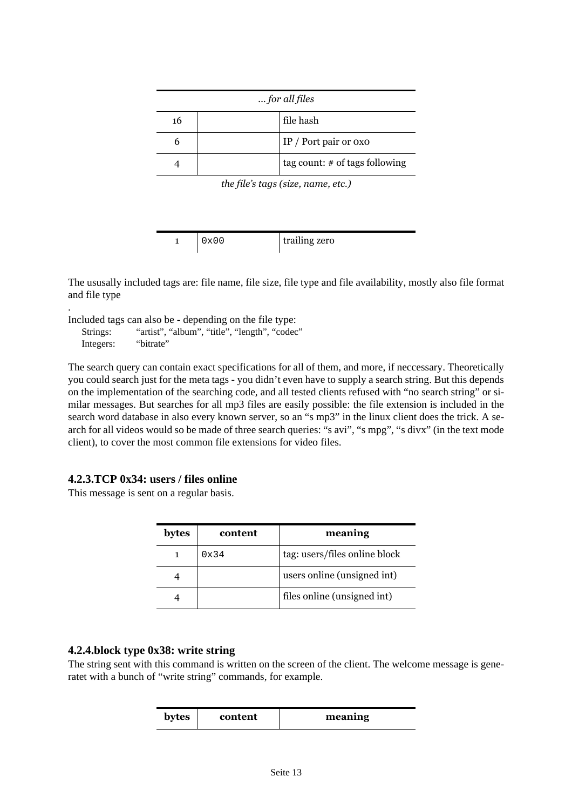| for all files |  |                                  |
|---------------|--|----------------------------------|
| 16            |  | file hash                        |
| n             |  | IP / Port pair or $oxo$          |
|               |  | tag count: $#$ of tags following |

*the file's tags (size, name, etc.)*

| $0 \times 0$ | trailing zero |
|--------------|---------------|

The ususally included tags are: file name, file size, file type and file availability, mostly also file format and file type

. Included tags can also be - depending on the file type:

Strings: "artist", "album", "title", "length", "codec" Integers: "bitrate"

The search query can contain exact specifications for all of them, and more, if neccessary. Theoretically you could search just for the meta tags - you didn't even have to supply a search string. But this depends on the implementation of the searching code, and all tested clients refused with "no search string" or similar messages. But searches for all mp3 files are easily possible: the file extension is included in the search word database in also every known server, so an "s mp3" in the linux client does the trick. A search for all videos would so be made of three search queries: "s avi", "s mpg", "s divx" (in the text mode client), to cover the most common file extensions for video files.

# **4.2.3.TCP 0x34: users / files online**

This message is sent on a regular basis.

| bytes | content       | meaning                       |
|-------|---------------|-------------------------------|
|       | $0 \times 34$ | tag: users/files online block |
|       |               | users online (unsigned int)   |
|       |               | files online (unsigned int)   |

## **4.2.4.block type 0x38: write string**

The string sent with this command is written on the screen of the client. The welcome message is generatet with a bunch of "write string" commands, for example.

| bytes | content | meaning |
|-------|---------|---------|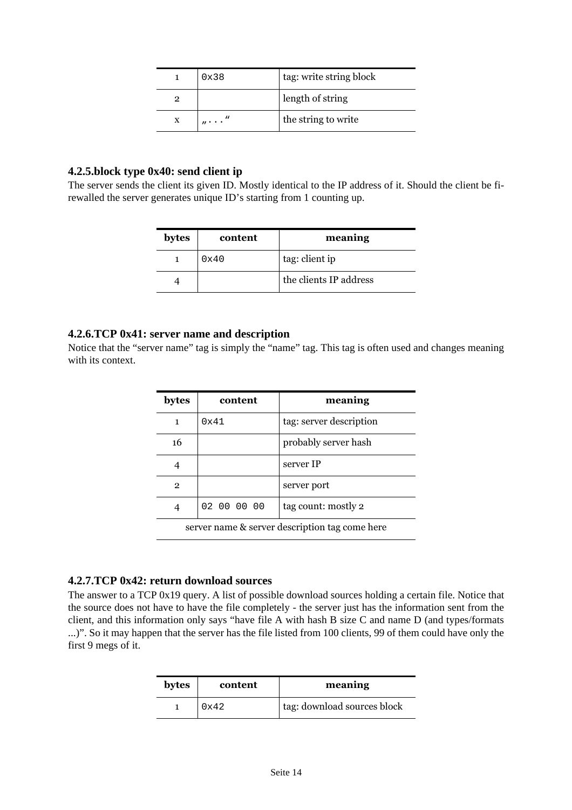|   | 0x38                                | tag: write string block |
|---|-------------------------------------|-------------------------|
|   |                                     | length of string        |
| X | $\cdot$ n $\cdot$ . $\cdot$ $\cdot$ | the string to write     |

#### **4.2.5.block type 0x40: send client ip**

The server sends the client its given ID. Mostly identical to the IP address of it. Should the client be firewalled the server generates unique ID's starting from 1 counting up.

| bytes | content | meaning                |
|-------|---------|------------------------|
|       | 0x40    | tag: client ip         |
|       |         | the clients IP address |

#### **4.2.6.TCP 0x41: server name and description**

Notice that the "server name" tag is simply the "name" tag. This tag is often used and changes meaning with its context.

| bytes                                          | content       | meaning                 |
|------------------------------------------------|---------------|-------------------------|
| 1                                              | $0 \times 41$ | tag: server description |
| 16                                             |               | probably server hash    |
|                                                |               | server IP               |
| $\mathbf{2}$                                   |               | server port             |
|                                                | 02 00 00 00   | tag count: mostly 2     |
| server name & server description tag come here |               |                         |

## **4.2.7.TCP 0x42: return download sources**

The answer to a TCP 0x19 query. A list of possible download sources holding a certain file. Notice that the source does not have to have the file completely - the server just has the information sent from the client, and this information only says "have file A with hash B size C and name D (and types/formats ...)". So it may happen that the server has the file listed from 100 clients, 99 of them could have only the first 9 megs of it.

| bytes | content       | meaning                     |
|-------|---------------|-----------------------------|
|       | $0 \times 42$ | tag: download sources block |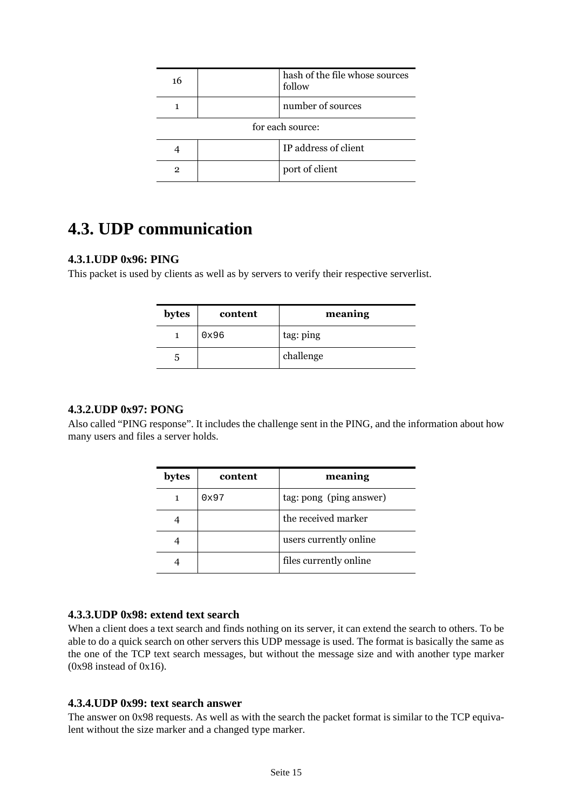| 16               |  | hash of the file whose sources<br>follow |
|------------------|--|------------------------------------------|
|                  |  | number of sources                        |
| for each source: |  |                                          |
|                  |  | IP address of client                     |
| 2                |  | port of client                           |

# **4.3. UDP communication**

# **4.3.1.UDP 0x96: PING**

This packet is used by clients as well as by servers to verify their respective serverlist.

| bytes | content | meaning   |
|-------|---------|-----------|
|       | 0x96    | tag: ping |
| ۰.    |         | challenge |

# **4.3.2.UDP 0x97: PONG**

Also called "PING response". It includes the challenge sent in the PING, and the information about how many users and files a server holds.

| bytes | content | meaning                 |
|-------|---------|-------------------------|
|       | 0x97    | tag: pong (ping answer) |
|       |         | the received marker     |
|       |         | users currently online  |
|       |         | files currently online  |

# **4.3.3.UDP 0x98: extend text search**

When a client does a text search and finds nothing on its server, it can extend the search to others. To be able to do a quick search on other servers this UDP message is used. The format is basically the same as the one of the TCP text search messages, but without the message size and with another type marker  $(0x98$  instead of  $0x16$ ).

## **4.3.4.UDP 0x99: text search answer**

The answer on 0x98 requests. As well as with the search the packet format is similar to the TCP equivalent without the size marker and a changed type marker.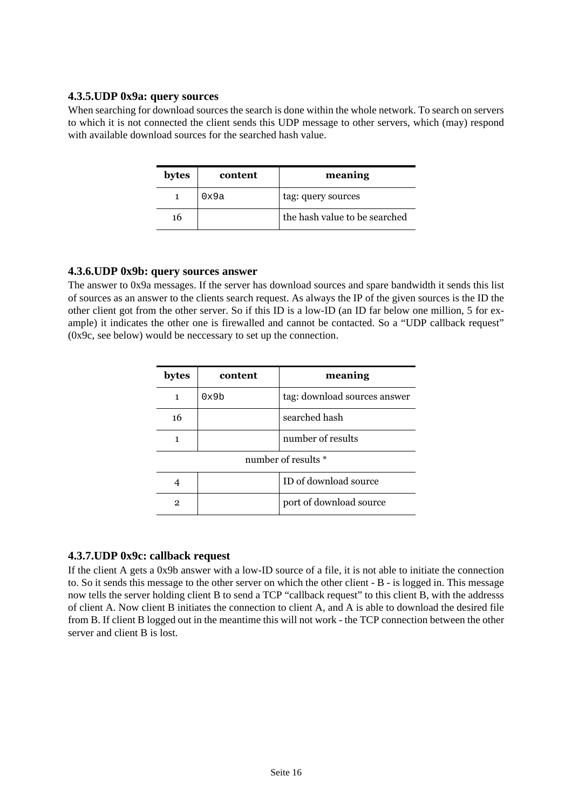## **4.3.5.UDP 0x9a: query sources**

When searching for download sources the search is done within the whole network. To search on servers to which it is not connected the client sends this UDP message to other servers, which (may) respond with available download sources for the searched hash value.

| bytes | content | meaning                       |
|-------|---------|-------------------------------|
|       | 0x9a    | tag: query sources            |
| 16    |         | the hash value to be searched |

## **4.3.6.UDP 0x9b: query sources answer**

The answer to 0x9a messages. If the server has download sources and spare bandwidth it sends this list of sources as an answer to the clients search request. As always the IP of the given sources is the ID the other client got from the other server. So if this ID is a low-ID (an ID far below one million, 5 for example) it indicates the other one is firewalled and cannot be contacted. So a "UDP callback request" (0x9c, see below) would be neccessary to set up the connection.

| bytes        | content | meaning                      |
|--------------|---------|------------------------------|
| 1            | 0x9b    | tag: download sources answer |
| 16           |         | searched hash                |
| 1            |         | number of results            |
|              |         | number of results *          |
| 4            |         | ID of download source        |
| $\mathbf{2}$ |         | port of download source      |

## **4.3.7.UDP 0x9c: callback request**

If the client A gets a 0x9b answer with a low-ID source of a file, it is not able to initiate the connection to. So it sends this message to the other server on which the other client - B - is logged in. This message now tells the server holding client B to send a TCP "callback request" to this client B, with the addresss of client A. Now client B initiates the connection to client A, and A is able to download the desired file from B. If client B logged out in the meantime this will not work - the TCP connection between the other server and client B is lost.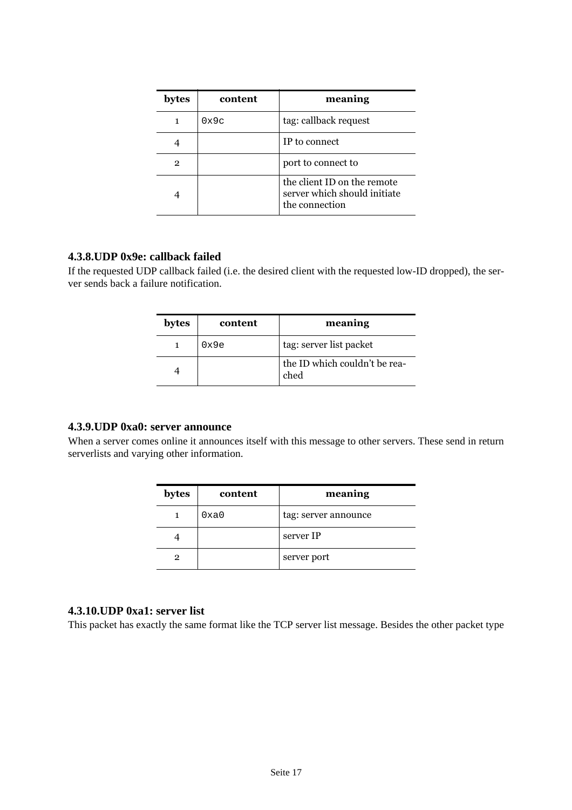| bytes | content        | meaning                                                                       |
|-------|----------------|-------------------------------------------------------------------------------|
|       | $0 \times 9$ c | tag: callback request                                                         |
|       |                | IP to connect                                                                 |
| 2     |                | port to connect to                                                            |
|       |                | the client ID on the remote<br>server which should initiate<br>the connection |

#### **4.3.8.UDP 0x9e: callback failed**

If the requested UDP callback failed (i.e. the desired client with the requested low-ID dropped), the server sends back a failure notification.

| bytes | content | meaning                               |
|-------|---------|---------------------------------------|
|       | 0x9e    | tag: server list packet               |
|       |         | the ID which couldn't be rea-<br>ched |

# **4.3.9.UDP 0xa0: server announce**

When a server comes online it announces itself with this message to other servers. These send in return serverlists and varying other information.

| bytes | content | meaning              |
|-------|---------|----------------------|
|       | 0xa0    | tag: server announce |
|       |         | server IP            |
| 2     |         | server port          |

# **4.3.10.UDP 0xa1: server list**

This packet has exactly the same format like the TCP server list message. Besides the other packet type